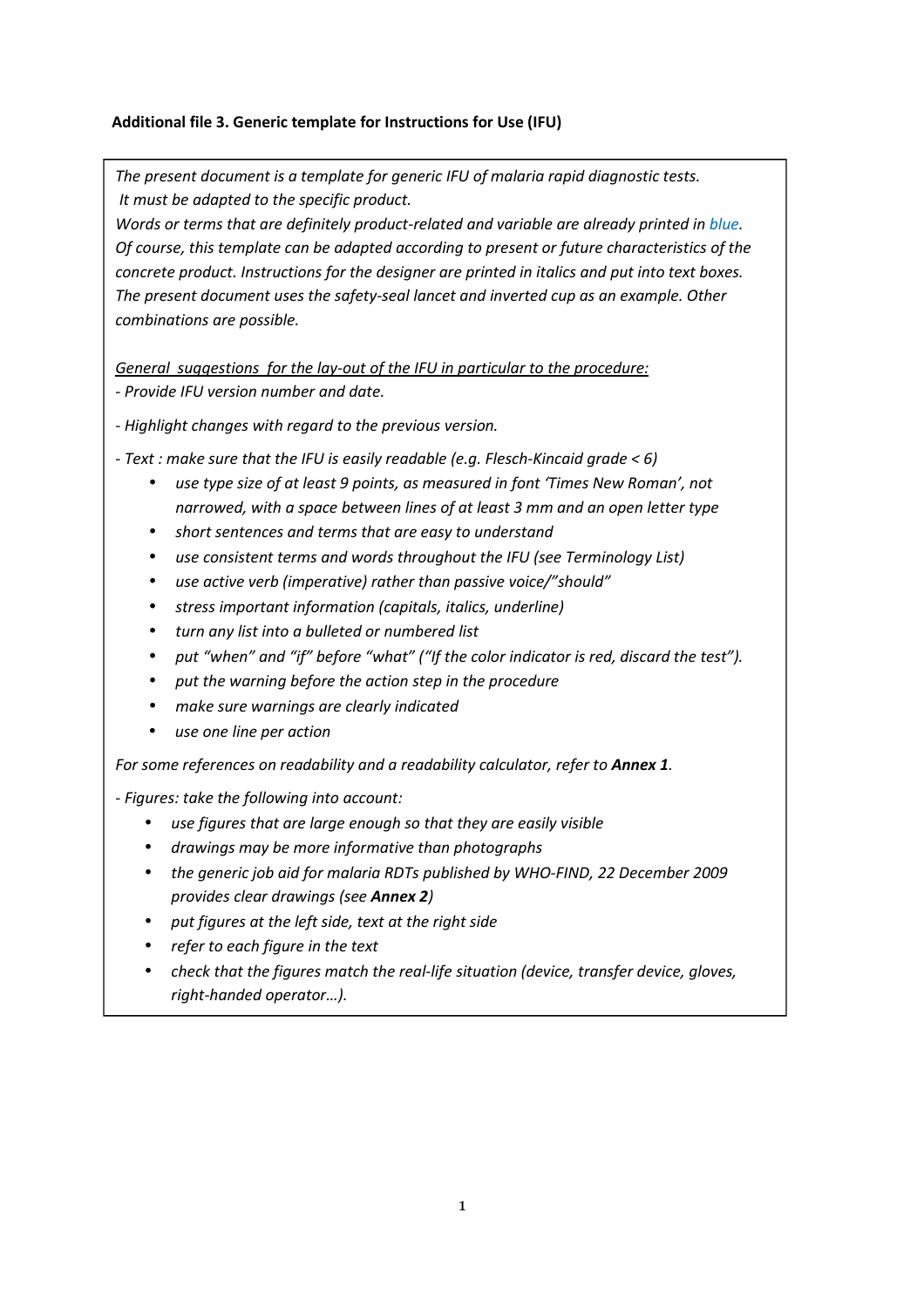## **Additional file 3. Generic template for Instructions for Use (IFU)**

*The present document is a template for generic IFU of malaria rapid diagnostic tests. It must be adapted to the specific product.* 

*Words or terms that are definitely product-related and variable are already printed in blue. Of course, this template can be adapted according to present or future characteristics of the concrete product. Instructions for the designer are printed in italics and put into text boxes. The present document uses the safety-seal lancet and inverted cup as an example. Other combinations are possible.* 

*General suggestions for the lay-out of the IFU in particular to the procedure:* 

*- Provide IFU version number and date.* 

*- Highlight changes with regard to the previous version.* 

*- Text : make sure that the IFU is easily readable (e.g. Flesch-Kincaid grade < 6)* 

- *use type size of at least 9 points, as measured in font 'Times New Roman', not narrowed, with a space between lines of at least 3 mm and an open letter type*
- *short sentences and terms that are easy to understand*
- *use consistent terms and words throughout the IFU (see Terminology List)*
- *use active verb (imperative) rather than passive voice/"should"*
- *stress important information (capitals, italics, underline)*
- *turn any list into a bulleted or numbered list*
- *put "when" and "if" before "what" ("If the color indicator is red, discard the test").*
- *put the warning before the action step in the procedure*
- *make sure warnings are clearly indicated*
- *use one line per action*

 *For some references on readability and a readability calculator, refer to Annex 1.* 

*- Figures: take the following into account:* 

- *use figures that are large enough so that they are easily visible*
- *drawings may be more informative than photographs*
- *the generic job aid for malaria RDTs published by WHO-FIND, 22 December 2009 provides clear drawings (see Annex 2)*
- *put figures at the left side, text at the right side*
- *refer to each figure in the text*
- *check that the figures match the real-life situation (device, transfer device, gloves, right-handed operator…).*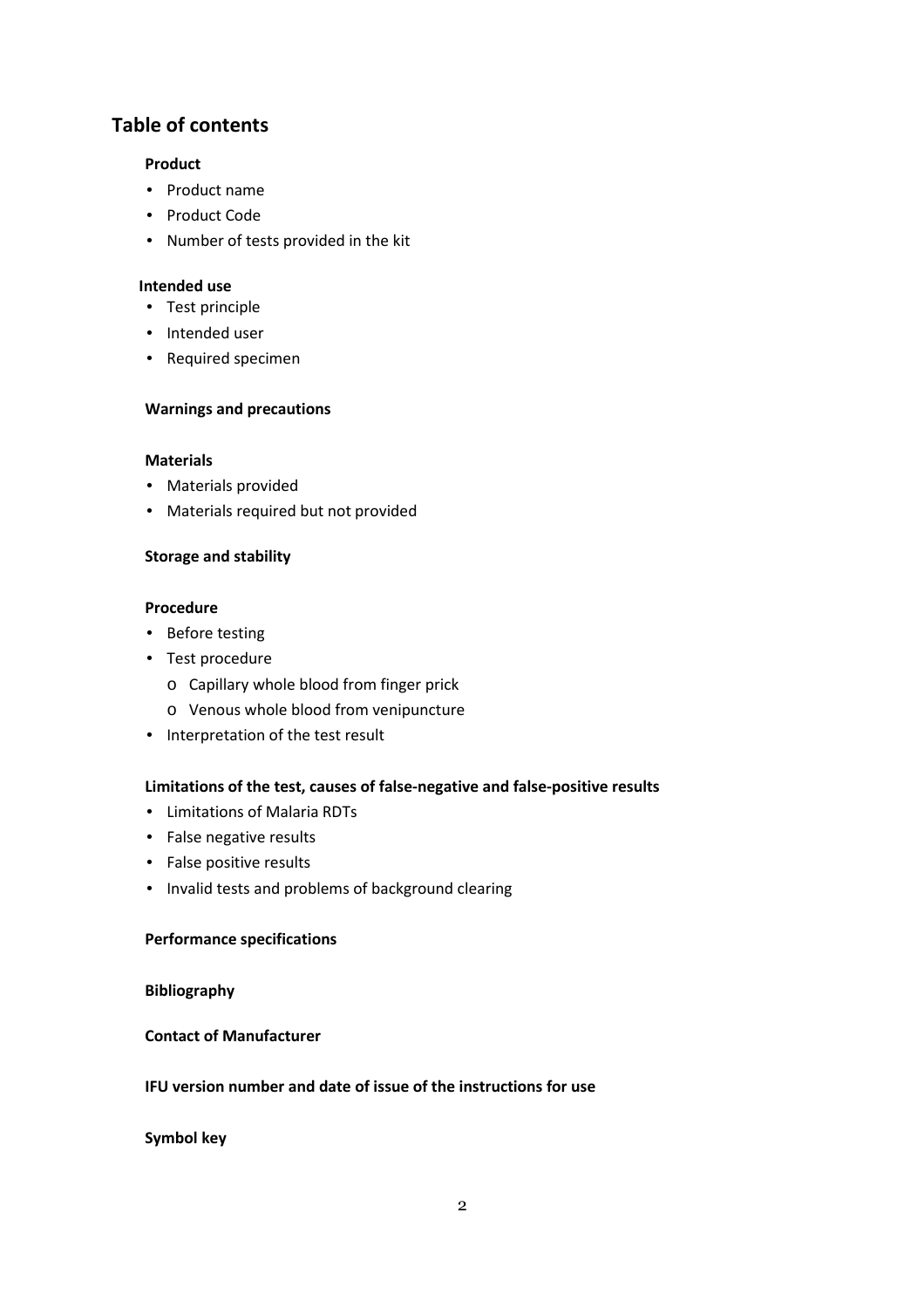# **Table of contents**

#### **Product**

- Product name
- Product Code
- Number of tests provided in the kit

### **Intended use**

- Test principle
- Intended user
- Required specimen

#### **Warnings and precautions**

#### **Materials**

- Materials provided
- Materials required but not provided

#### **Storage and stability**

#### **Procedure**

- Before testing
- Test procedure
	- o Capillary whole blood from finger prick
	- o Venous whole blood from venipuncture
- Interpretation of the test result

# **Limitations of the test, causes of false-negative and false-positive results**

- Limitations of Malaria RDTs
- False negative results
- False positive results
- Invalid tests and problems of background clearing

#### **Performance specifications**

#### **Bibliography**

#### **Contact of Manufacturer**

#### **IFU version number and date of issue of the instructions for use**

## **Symbol key**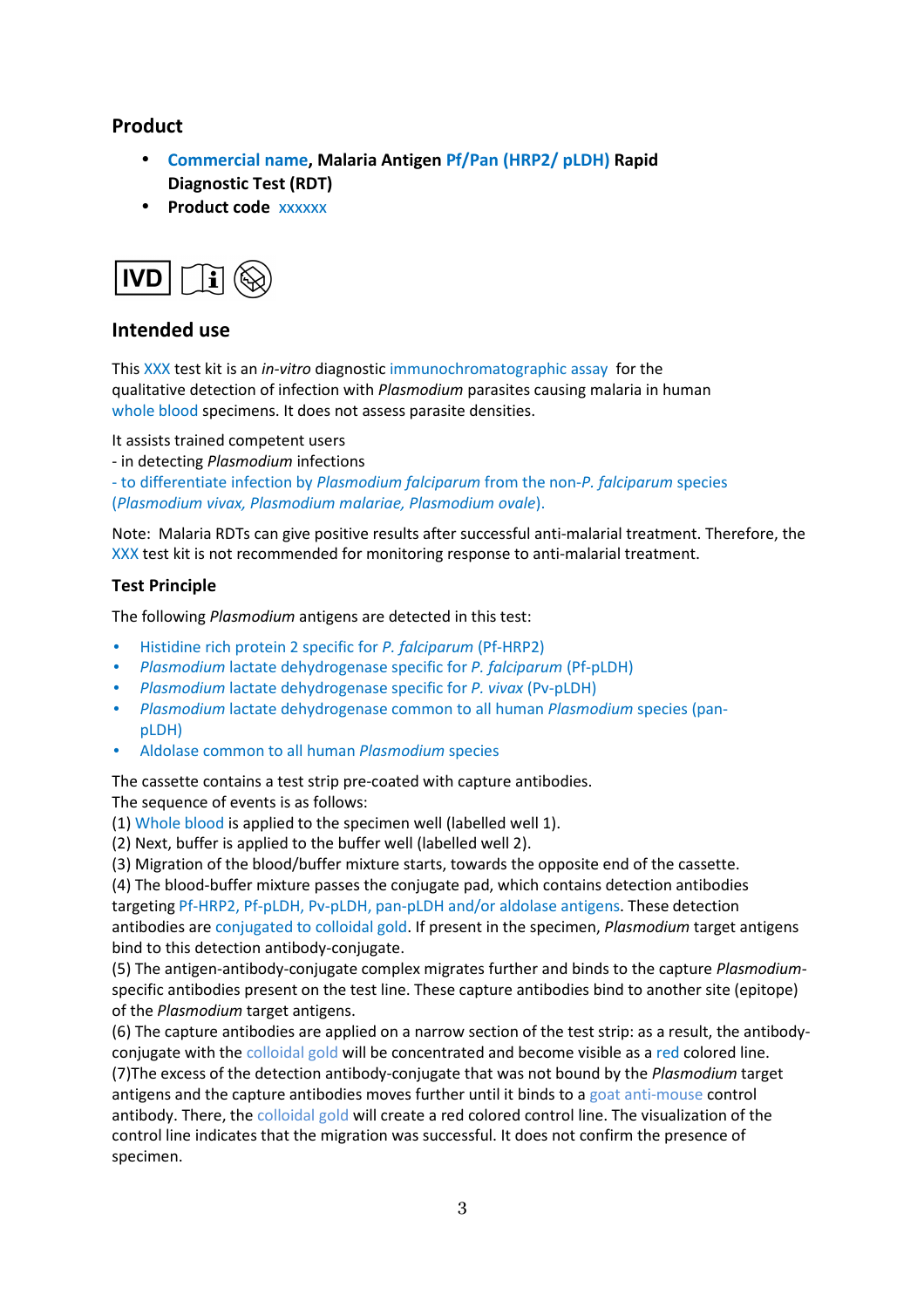# **Product**

- **Commercial name, Malaria Antigen Pf/Pan (HRP2/ pLDH) Rapid Diagnostic Test (RDT)**
- **Product code** xxxxxx



# **Intended use**

This XXX test kit is an *in-vitro* diagnostic immunochromatographic assay for the qualitative detection of infection with *Plasmodium* parasites causing malaria in human whole blood specimens. It does not assess parasite densities.

It assists trained competent users

- in detecting *Plasmodium* infections

- to differentiate infection by *Plasmodium falciparum* from the non-*P. falciparum* species (*Plasmodium vivax, Plasmodium malariae, Plasmodium ovale*).

Note: Malaria RDTs can give positive results after successful anti-malarial treatment. Therefore, the XXX test kit is not recommended for monitoring response to anti-malarial treatment.

#### **Test Principle**

The following *Plasmodium* antigens are detected in this test:

- Histidine rich protein 2 specific for *P. falciparum* (Pf-HRP2)
- *Plasmodium* lactate dehydrogenase specific for *P. falciparum* (Pf-pLDH)
- *Plasmodium* lactate dehydrogenase specific for *P. vivax* (Pv-pLDH)
- *Plasmodium* lactate dehydrogenase common to all human *Plasmodium* species (panpLDH)
- Aldolase common to all human *Plasmodium* species

The cassette contains a test strip pre-coated with capture antibodies. The sequence of events is as follows:

(1) Whole blood is applied to the specimen well (labelled well 1).

- (2) Next, buffer is applied to the buffer well (labelled well 2).
- (3) Migration of the blood/buffer mixture starts, towards the opposite end of the cassette.

(4) The blood-buffer mixture passes the conjugate pad, which contains detection antibodies targeting Pf-HRP2, Pf-pLDH, Pv-pLDH, pan-pLDH and/or aldolase antigens. These detection antibodies are conjugated to colloidal gold. If present in the specimen, *Plasmodium* target antigens bind to this detection antibody-conjugate.

(5) The antigen-antibody-conjugate complex migrates further and binds to the capture *Plasmodium*specific antibodies present on the test line. These capture antibodies bind to another site (epitope) of the *Plasmodium* target antigens.

(6) The capture antibodies are applied on a narrow section of the test strip: as a result, the antibodyconjugate with the colloidal gold will be concentrated and become visible as a red colored line. (7)The excess of the detection antibody-conjugate that was not bound by the *Plasmodium* target antigens and the capture antibodies moves further until it binds to a goat anti-mouse control antibody. There, the colloidal gold will create a red colored control line. The visualization of the control line indicates that the migration was successful. It does not confirm the presence of specimen.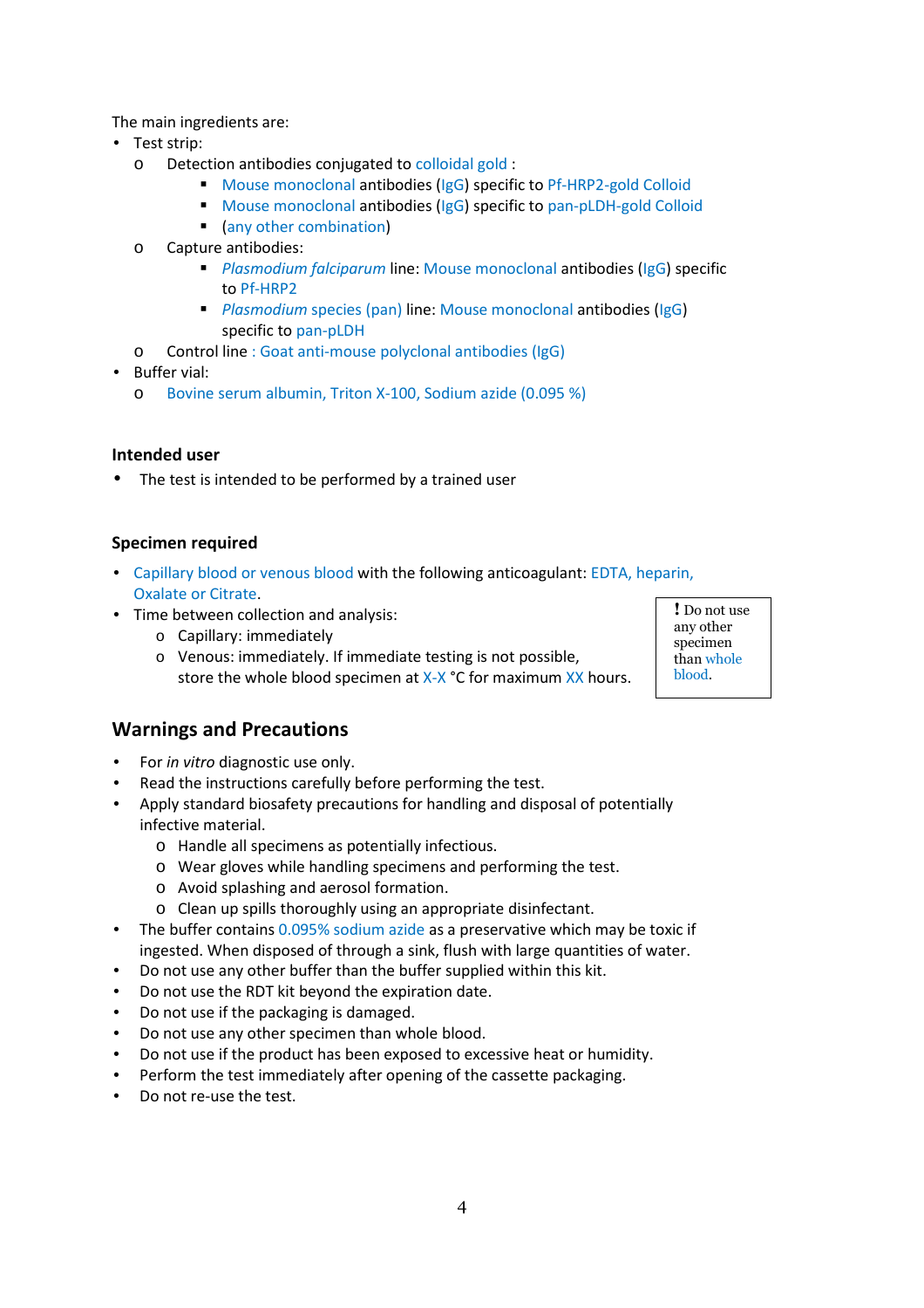The main ingredients are:

- Test strip:
	- o Detection antibodies conjugated to colloidal gold :
		- Mouse monoclonal antibodies (IgG) specific to Pf-HRP2-gold Colloid
		- Mouse monoclonal antibodies (IgG) specific to pan-pLDH-gold Colloid
		- (any other combination)
	- o Capture antibodies:
		- *Plasmodium falciparum* line: Mouse monoclonal antibodies (IgG) specific to Pf-HRP2
		- **Plasmodium species (pan) line: Mouse monoclonal antibodies (IgG)** specific to pan-pLDH
	- o Control line : Goat anti-mouse polyclonal antibodies (IgG)
- Buffer vial:
	- o Bovine serum albumin, Triton X-100, Sodium azide (0.095 %)

## **Intended user**

• The test is intended to be performed by a trained user

#### **Specimen required**

- Capillary blood or venous blood with the following anticoagulant: EDTA, heparin, Oxalate or Citrate.
- Time between collection and analysis:
	- o Capillary: immediately
	- o Venous: immediately. If immediate testing is not possible, store the whole blood specimen at X-X °C for maximum XX hours.

# **Warnings and Precautions**

- For *in vitro* diagnostic use only.
- Read the instructions carefully before performing the test.
- Apply standard biosafety precautions for handling and disposal of potentially infective material.
	- o Handle all specimens as potentially infectious.
	- o Wear gloves while handling specimens and performing the test.
	- o Avoid splashing and aerosol formation.
	- o Clean up spills thoroughly using an appropriate disinfectant.
- The buffer contains 0.095% sodium azide as a preservative which may be toxic if ingested. When disposed of through a sink, flush with large quantities of water.
- Do not use any other buffer than the buffer supplied within this kit.
- Do not use the RDT kit beyond the expiration date.
- Do not use if the packaging is damaged.
- Do not use any other specimen than whole blood.
- Do not use if the product has been exposed to excessive heat or humidity.
- Perform the test immediately after opening of the cassette packaging.
- Do not re-use the test.

**!** Do not use any other specimen than whole blood.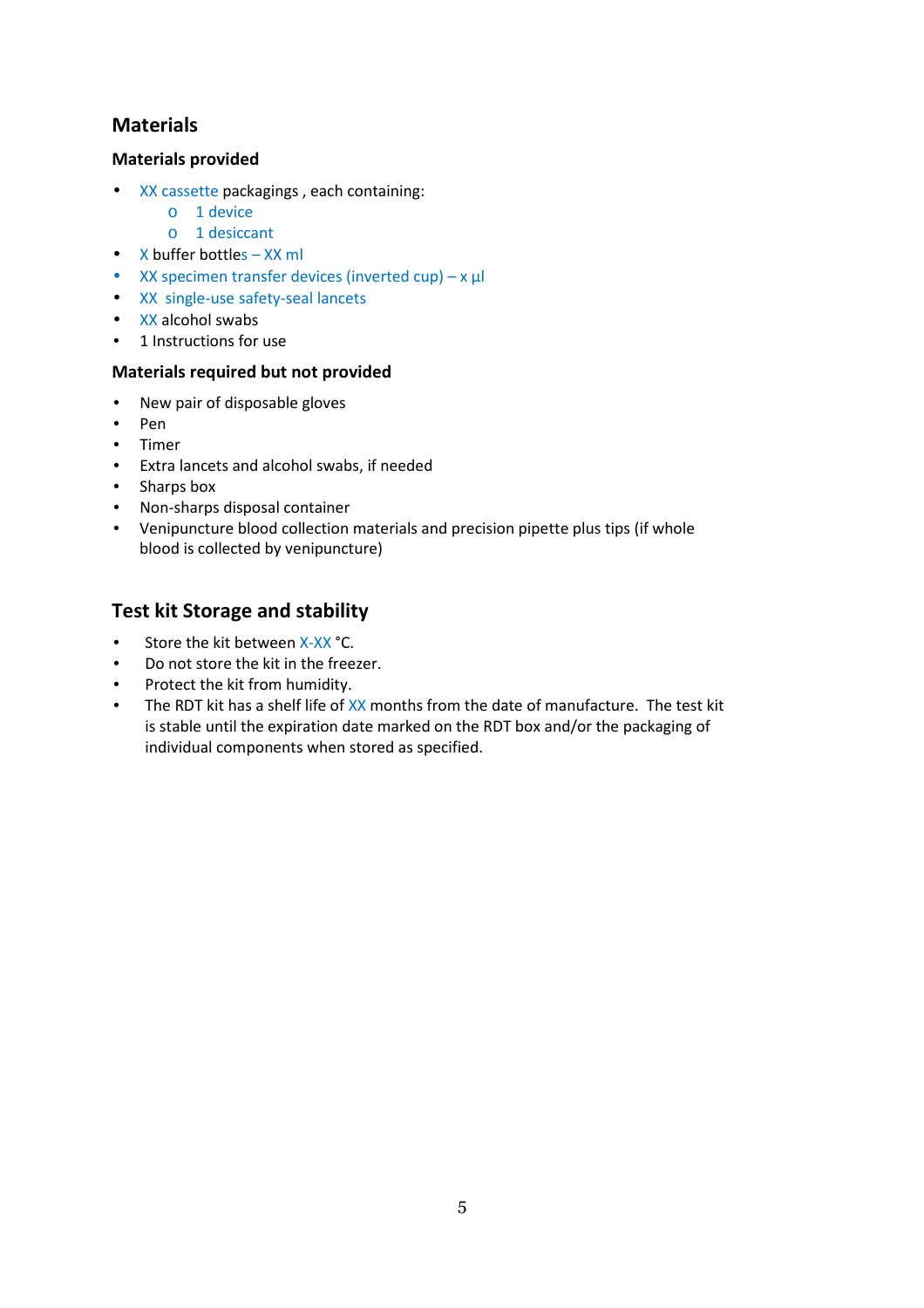# **Materials**

## **Materials provided**

- XX cassette packagings , each containing:
	- o 1 device
	- o 1 desiccant
- X buffer bottles XX ml
- XX specimen transfer devices (inverted cup)  $x \mu$
- XX single-use safety-seal lancets
- XX alcohol swabs
- 1 Instructions for use

## **Materials required but not provided**

- New pair of disposable gloves
- Pen
- Timer
- Extra lancets and alcohol swabs, if needed
- Sharps box
- Non-sharps disposal container
- Venipuncture blood collection materials and precision pipette plus tips (if whole blood is collected by venipuncture)

# **Test kit Storage and stability**

- Store the kit between X-XX °C.
- Do not store the kit in the freezer.
- Protect the kit from humidity.
- The RDT kit has a shelf life of XX months from the date of manufacture. The test kit is stable until the expiration date marked on the RDT box and/or the packaging of individual components when stored as specified.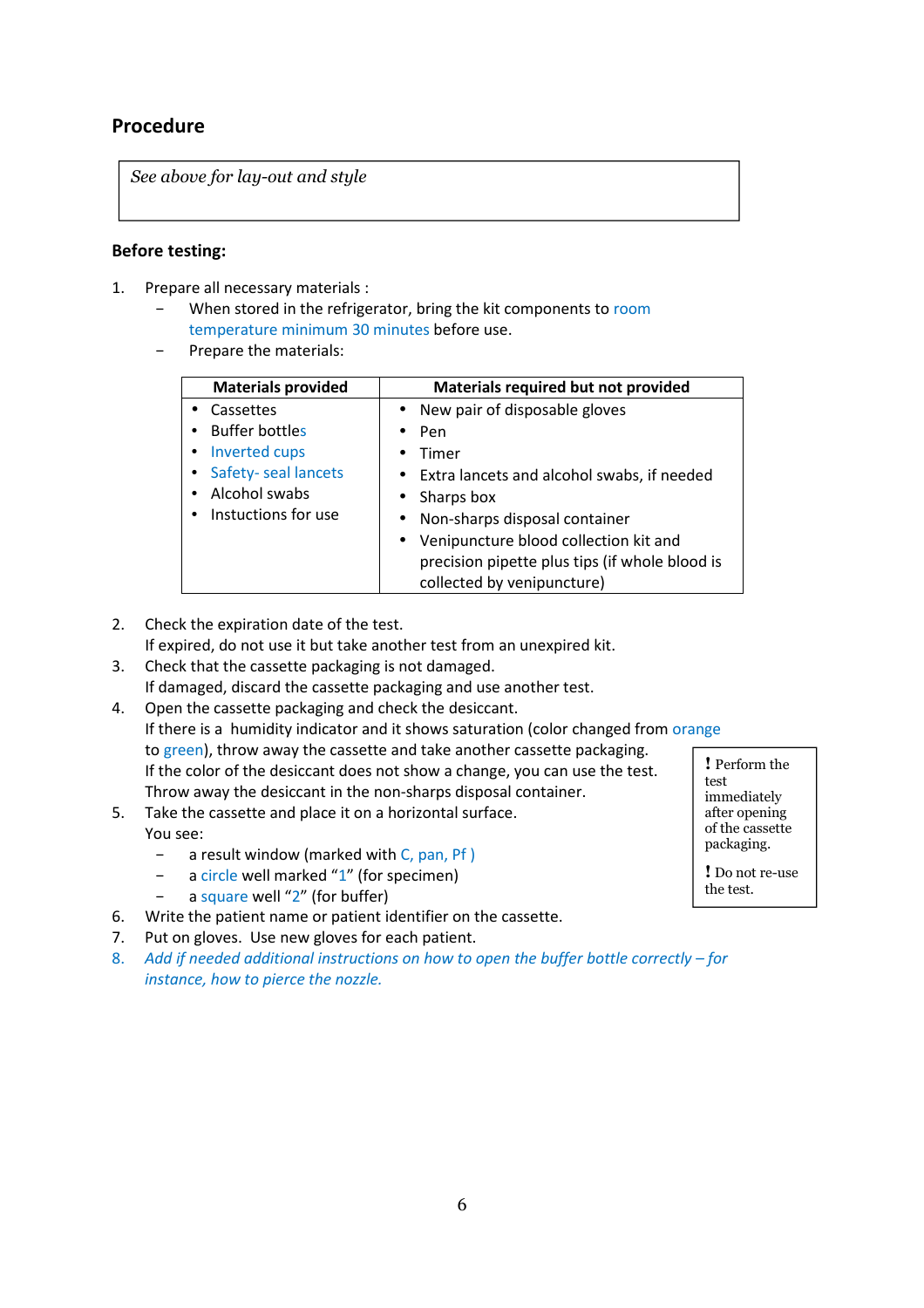# **Procedure**

*See above for lay-out and style*

## **Before testing:**

- 1. Prepare all necessary materials :
	- When stored in the refrigerator, bring the kit components to room temperature minimum 30 minutes before use.
	- Prepare the materials:

| <b>Materials provided</b>  | Materials required but not provided            |  |  |
|----------------------------|------------------------------------------------|--|--|
| • Cassettes                | • New pair of disposable gloves                |  |  |
| <b>Buffer bottles</b>      | Pen                                            |  |  |
| Inverted cups<br>$\bullet$ | Timer                                          |  |  |
| Safety-seal lancets        | • Extra lancets and alcohol swabs, if needed   |  |  |
| Alcohol swabs              | $\bullet$ Sharps box                           |  |  |
| Instuctions for use        | Non-sharps disposal container<br>$\bullet$     |  |  |
|                            | • Venipuncture blood collection kit and        |  |  |
|                            | precision pipette plus tips (if whole blood is |  |  |
|                            | collected by venipuncture)                     |  |  |

2. Check the expiration date of the test.

If expired, do not use it but take another test from an unexpired kit.

- 3. Check that the cassette packaging is not damaged. If damaged, discard the cassette packaging and use another test.
- 4. Open the cassette packaging and check the desiccant. If there is a humidity indicator and it shows saturation (color changed from orange to green), throw away the cassette and take another cassette packaging. If the color of the desiccant does not show a change, you can use the test. Throw away the desiccant in the non-sharps disposal container. **!** Perform the
- 5. Take the cassette and place it on a horizontal surface. You see:
	- − a result window (marked with C, pan, Pf )
	- − a circle well marked "1" (for specimen)
		- a square well "2" (for buffer)
- 6. Write the patient name or patient identifier on the cassette.
- 7. Put on gloves. Use new gloves for each patient.
- 8. *Add if needed additional instructions on how to open the buffer bottle correctly for instance, how to pierce the nozzle.*

test immediately after opening of the cassette

**!** Do not re-use the test.

packaging.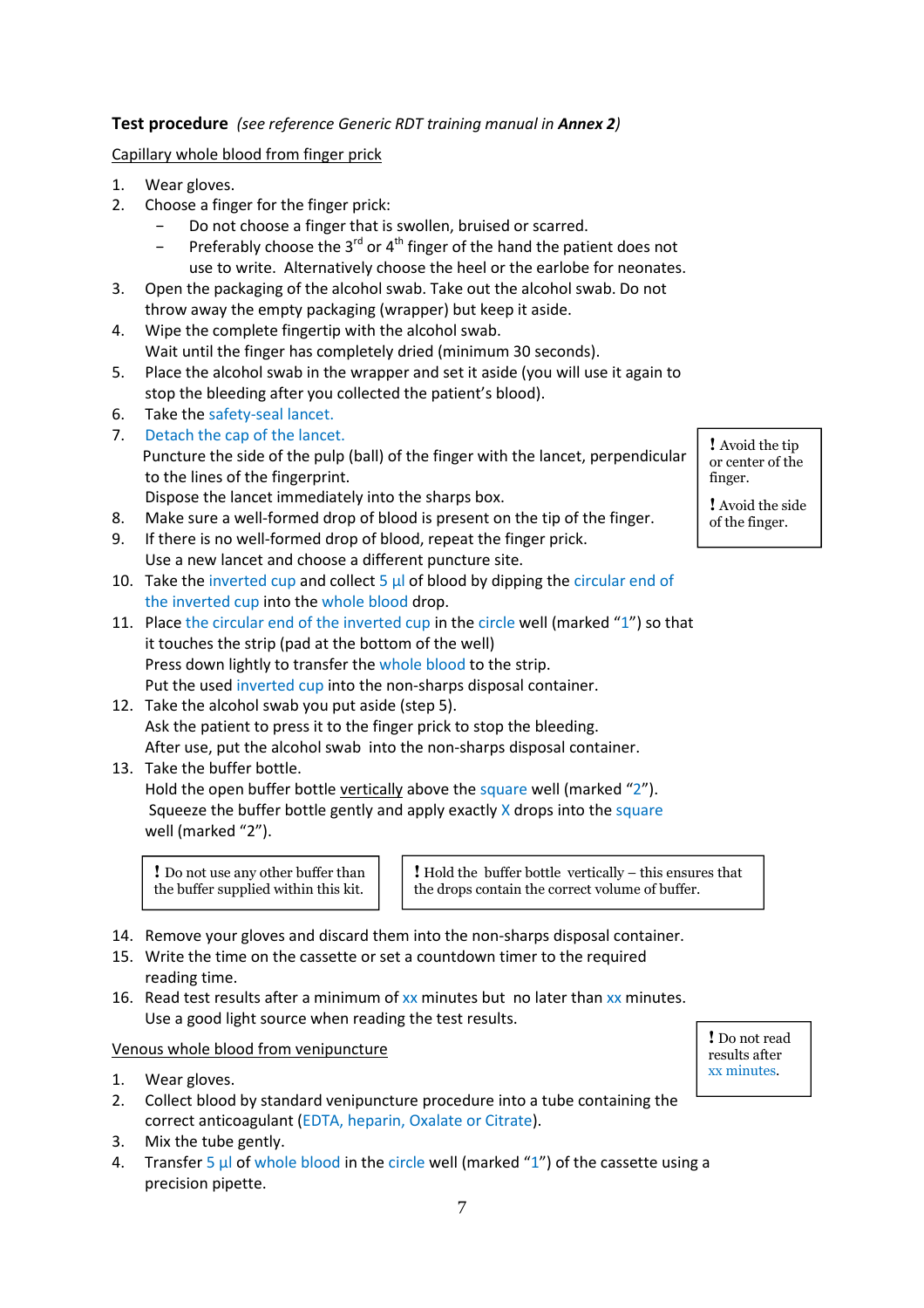## **Test procedure** *(see reference Generic RDT training manual in Annex 2)*

### Capillary whole blood from finger prick

- 1. Wear gloves.
- 2. Choose a finger for the finger prick:
	- Do not choose a finger that is swollen, bruised or scarred.
	- Preferably choose the  $3^{rd}$  or  $4^{th}$  finger of the hand the patient does not use to write. Alternatively choose the heel or the earlobe for neonates.
- 3. Open the packaging of the alcohol swab. Take out the alcohol swab. Do not throw away the empty packaging (wrapper) but keep it aside.
- 4. Wipe the complete fingertip with the alcohol swab. Wait until the finger has completely dried (minimum 30 seconds).
- 5. Place the alcohol swab in the wrapper and set it aside (you will use it again to stop the bleeding after you collected the patient's blood).
- 6. Take the safety-seal lancet.
- 7. Detach the cap of the lancet. Puncture the side of the pulp (ball) of the finger with the lancet, perpendicular to the lines of the fingerprint.

Dispose the lancet immediately into the sharps box.

- 8. Make sure a well-formed drop of blood is present on the tip of the finger.
- 9. If there is no well-formed drop of blood, repeat the finger prick. Use a new lancet and choose a different puncture site.
- 10. Take the inverted cup and collect  $5 \mu$  of blood by dipping the circular end of the inverted cup into the whole blood drop.
- 11. Place the circular end of the inverted cup in the circle well (marked "1") so that it touches the strip (pad at the bottom of the well) Press down lightly to transfer the whole blood to the strip. Put the used inverted cup into the non-sharps disposal container.
- 12. Take the alcohol swab you put aside (step 5). Ask the patient to press it to the finger prick to stop the bleeding. After use, put the alcohol swab into the non-sharps disposal container.
- 13. Take the buffer bottle.

Hold the open buffer bottle vertically above the square well (marked "2"). Squeeze the buffer bottle gently and apply exactly  $X$  drops into the square well (marked "2").

**!** Do not use any other buffer than the buffer supplied within this kit.

**!** Hold the buffer bottle vertically – this ensures that the drops contain the correct volume of buffer.

- 14. Remove your gloves and discard them into the non-sharps disposal container.
- 15. Write the time on the cassette or set a countdown timer to the required reading time.
- 16. Read test results after a minimum of  $xx$  minutes but no later than  $xx$  minutes. Use a good light source when reading the test results.

#### Venous whole blood from venipuncture

- 1. Wear gloves.
- 2. Collect blood by standard venipuncture procedure into a tube containing the correct anticoagulant (EDTA, heparin, Oxalate or Citrate).
- 3. Mix the tube gently.
- 4. Transfer 5  $\mu$  of whole blood in the circle well (marked "1") of the cassette using a precision pipette.

**!** Avoid the tip or center of the finger.

**!** Avoid the side of the finger.

**!** Do not read results after xx minutes.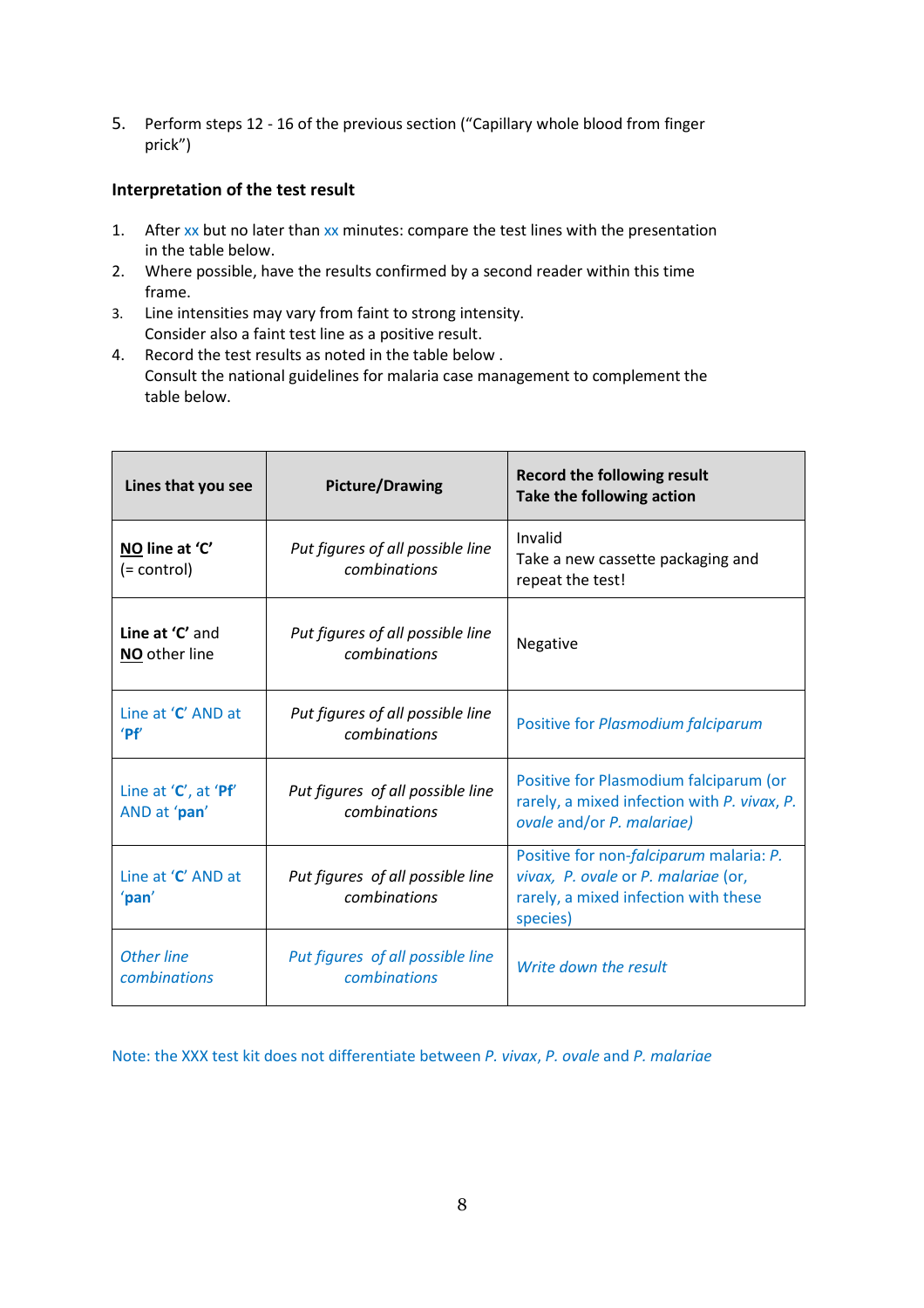5. Perform steps 12 - 16 of the previous section ("Capillary whole blood from finger prick")

## **Interpretation of the test result**

- 1. After  $xx$  but no later than  $xx$  minutes: compare the test lines with the presentation in the table below.
- 2. Where possible, have the results confirmed by a second reader within this time frame.
- 3. Line intensities may vary from faint to strong intensity. Consider also a faint test line as a positive result.
- 4. Record the test results as noted in the table below . Consult the national guidelines for malaria case management to complement the table below.

| Lines that you see                   | <b>Picture/Drawing</b>                           | <b>Record the following result</b><br>Take the following action                                                                    |  |
|--------------------------------------|--------------------------------------------------|------------------------------------------------------------------------------------------------------------------------------------|--|
| NO line at 'C'<br>(= control)        | Put figures of all possible line<br>combinations | Invalid<br>Take a new cassette packaging and<br>repeat the test!                                                                   |  |
| Line at 'C' and<br>NO other line     | Put figures of all possible line<br>combinations | Negative                                                                                                                           |  |
| Line at 'C' AND at<br>'Pf'           | Put figures of all possible line<br>combinations | Positive for Plasmodium falciparum                                                                                                 |  |
| Line at 'C', at 'Pf'<br>AND at 'pan' | Put figures of all possible line<br>combinations | Positive for Plasmodium falciparum (or<br>rarely, a mixed infection with P. vivax, P.<br>ovale and/or P. malariae)                 |  |
| Line at 'C' AND at<br>'pan'          | Put figures of all possible line<br>combinations | Positive for non-falciparum malaria: P.<br>vivax, P. ovale or P. malariae (or,<br>rarely, a mixed infection with these<br>species) |  |
| <b>Other line</b><br>combinations    | Put figures of all possible line<br>combinations | Write down the result                                                                                                              |  |

Note: the XXX test kit does not differentiate between *P. vivax*, *P. ovale* and *P. malariae*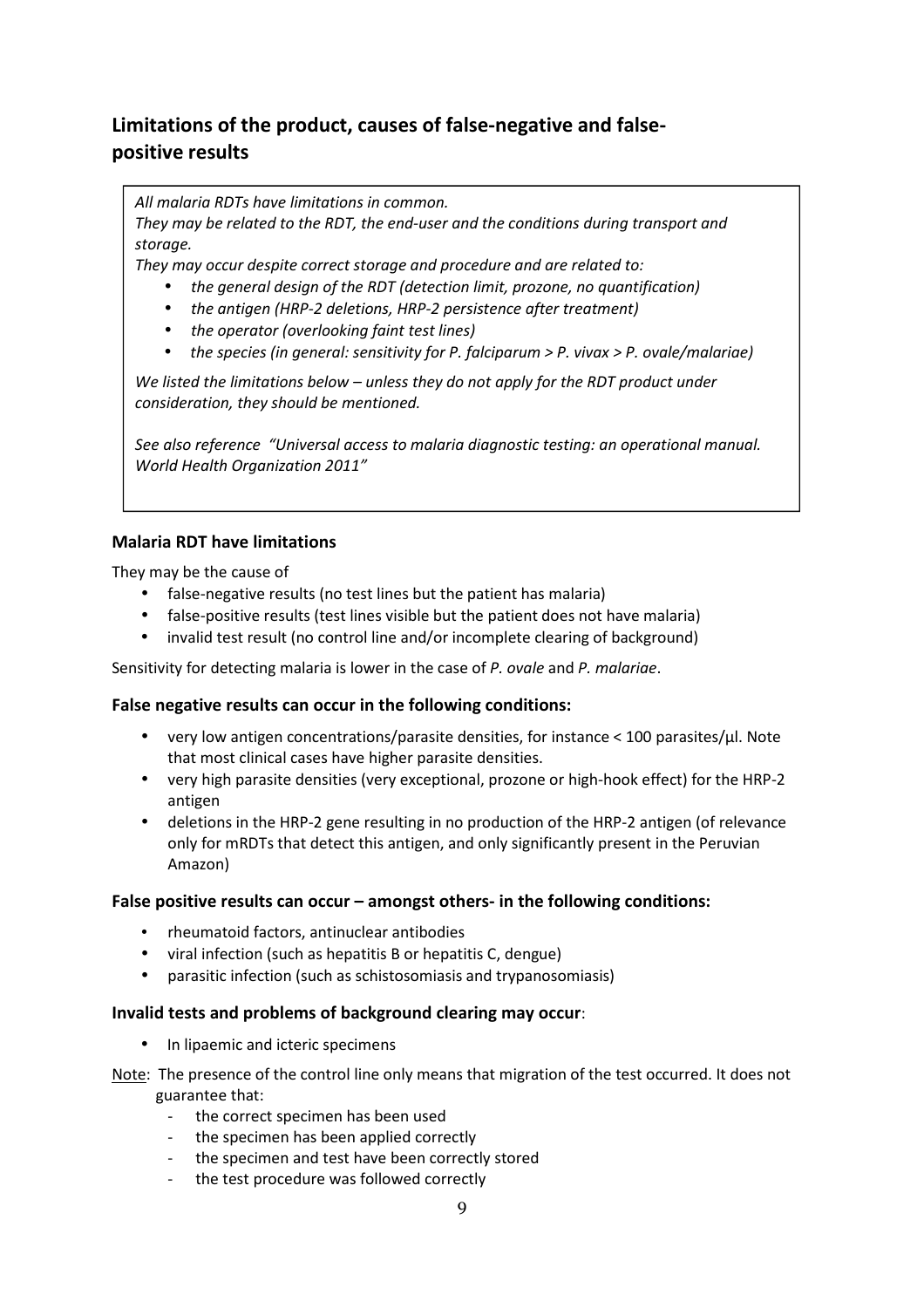# **Limitations of the product, causes of false-negative and falsepositive results**

*All malaria RDTs have limitations in common.* 

*They may be related to the RDT, the end-user and the conditions during transport and storage.* 

*They may occur despite correct storage and procedure and are related to:* 

- *the general design of the RDT (detection limit, prozone, no quantification)*
- *the antigen (HRP-2 deletions, HRP-2 persistence after treatment)*
- *the operator (overlooking faint test lines)*
- *the species (in general: sensitivity for P. falciparum > P. vivax > P. ovale/malariae)*

*We listed the limitations below – unless they do not apply for the RDT product under consideration, they should be mentioned.* 

*See also reference "Universal access to malaria diagnostic testing: an operational manual. World Health Organization 2011"*

## **Malaria RDT have limitations**

They may be the cause of

- false-negative results (no test lines but the patient has malaria)
- false-positive results (test lines visible but the patient does not have malaria)
- invalid test result (no control line and/or incomplete clearing of background)

Sensitivity for detecting malaria is lower in the case of *P. ovale* and *P. malariae*.

#### **False negative results can occur in the following conditions:**

- very low antigen concentrations/parasite densities, for instance  $\lt 100$  parasites/ $\mu$ l. Note that most clinical cases have higher parasite densities.
- very high parasite densities (very exceptional, prozone or high-hook effect) for the HRP-2 antigen
- deletions in the HRP-2 gene resulting in no production of the HRP-2 antigen (of relevance only for mRDTs that detect this antigen, and only significantly present in the Peruvian Amazon)

#### **False positive results can occur – amongst others- in the following conditions:**

- rheumatoid factors, antinuclear antibodies
- viral infection (such as hepatitis B or hepatitis C, dengue)
- parasitic infection (such as schistosomiasis and trypanosomiasis)

#### **Invalid tests and problems of background clearing may occur**:

- In lipaemic and icteric specimens
- Note: The presence of the control line only means that migration of the test occurred. It does not guarantee that:
	- the correct specimen has been used
	- the specimen has been applied correctly
	- the specimen and test have been correctly stored
	- the test procedure was followed correctly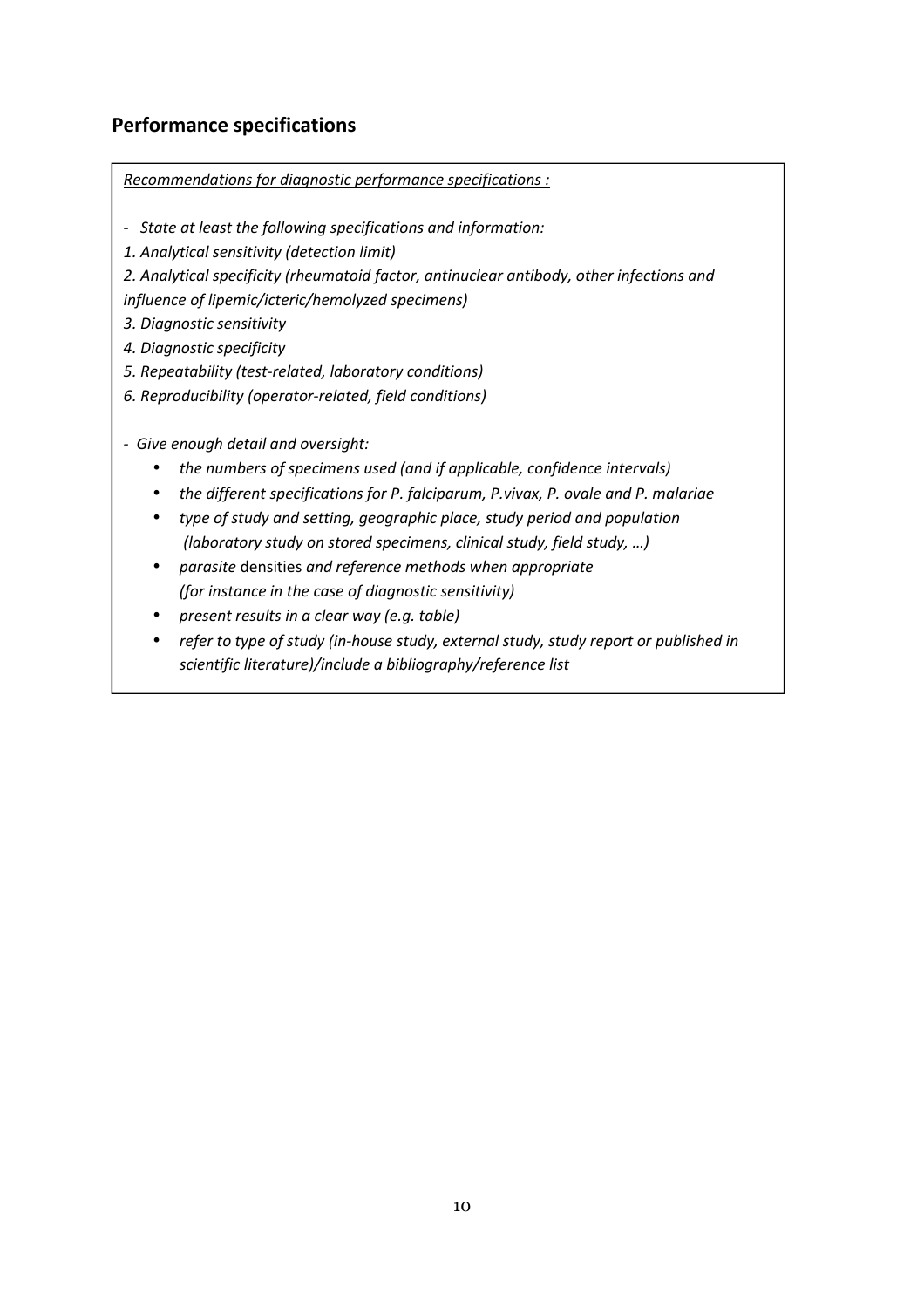# **Performance specifications**

*Recommendations for diagnostic performance specifications :*

- *State at least the following specifications and information:*
- *1. Analytical sensitivity (detection limit)*
- *2. Analytical specificity (rheumatoid factor, antinuclear antibody, other infections and*

*influence of lipemic/icteric/hemolyzed specimens)* 

- *3. Diagnostic sensitivity*
- *4. Diagnostic specificity*
- *5. Repeatability (test-related, laboratory conditions)*
- *6. Reproducibility (operator-related, field conditions)*
- *Give enough detail and oversight:* 
	- *the numbers of specimens used (and if applicable, confidence intervals)*
	- *the different specifications for P. falciparum, P.vivax, P. ovale and P. malariae*
	- *type of study and setting, geographic place, study period and population (laboratory study on stored specimens, clinical study, field study, …)*
	- *parasite* densities *and reference methods when appropriate (for instance in the case of diagnostic sensitivity)*
	- *present results in a clear way (e.g. table)*
	- *refer to type of study (in-house study, external study, study report or published in scientific literature)/include a bibliography/reference list*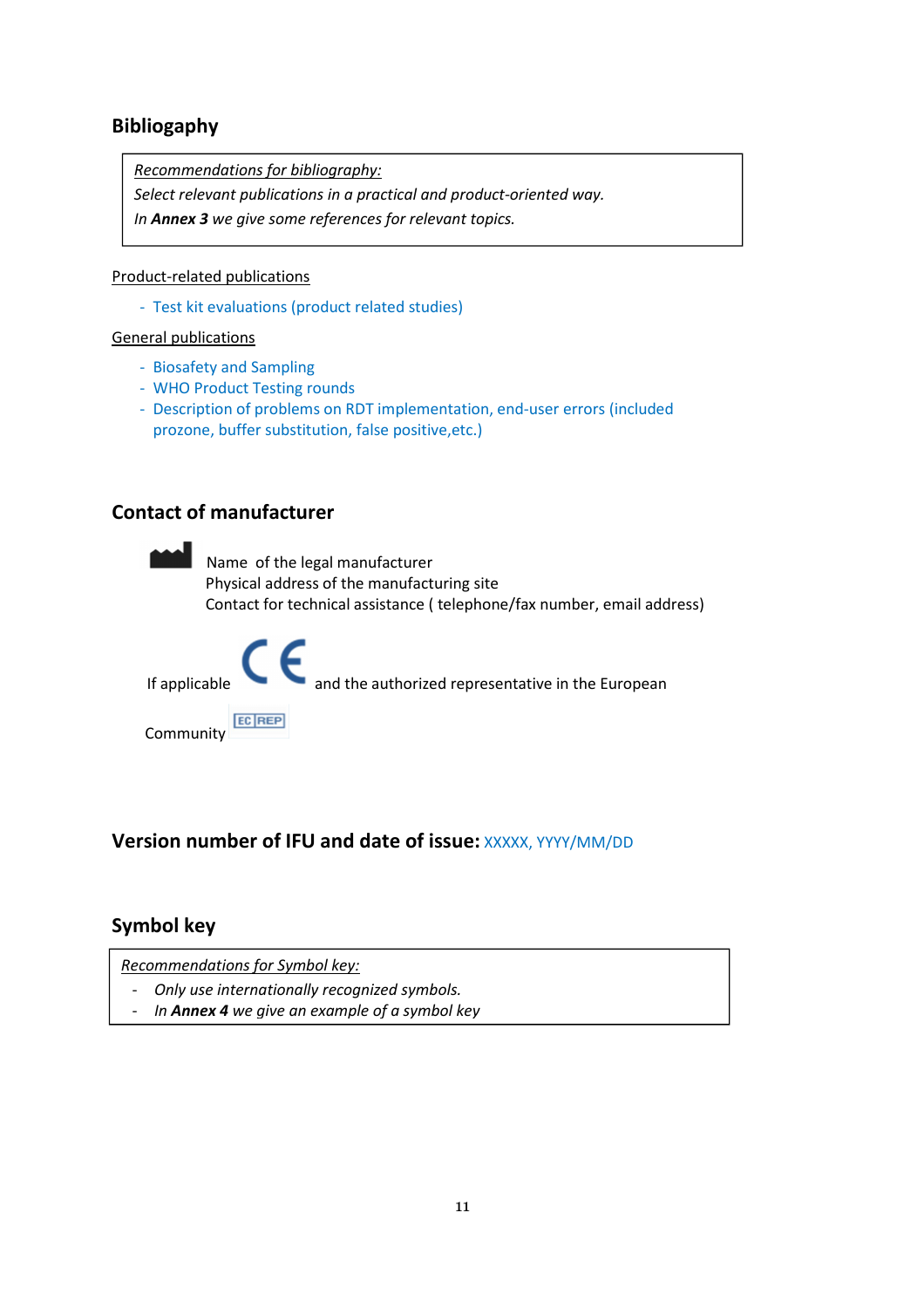# **Bibliogaphy**

*Recommendations for bibliography:*

*Select relevant publications in a practical and product-oriented way.* 

*In Annex 3 we give some references for relevant topics.* 

## Product-related publications

- Test kit evaluations (product related studies)

#### General publications

- Biosafety and Sampling
- WHO Product Testing rounds
- Description of problems on RDT implementation, end-user errors (included prozone, buffer substitution, false positive,etc.)

# **Contact of manufacturer**



# **Version number of IFU and date of issue: XXXXX, YYYY/MM/DD**

# **Symbol key**

*Recommendations for Symbol key:*

- *Only use internationally recognized symbols.*
- *In Annex 4 we give an example of a symbol key*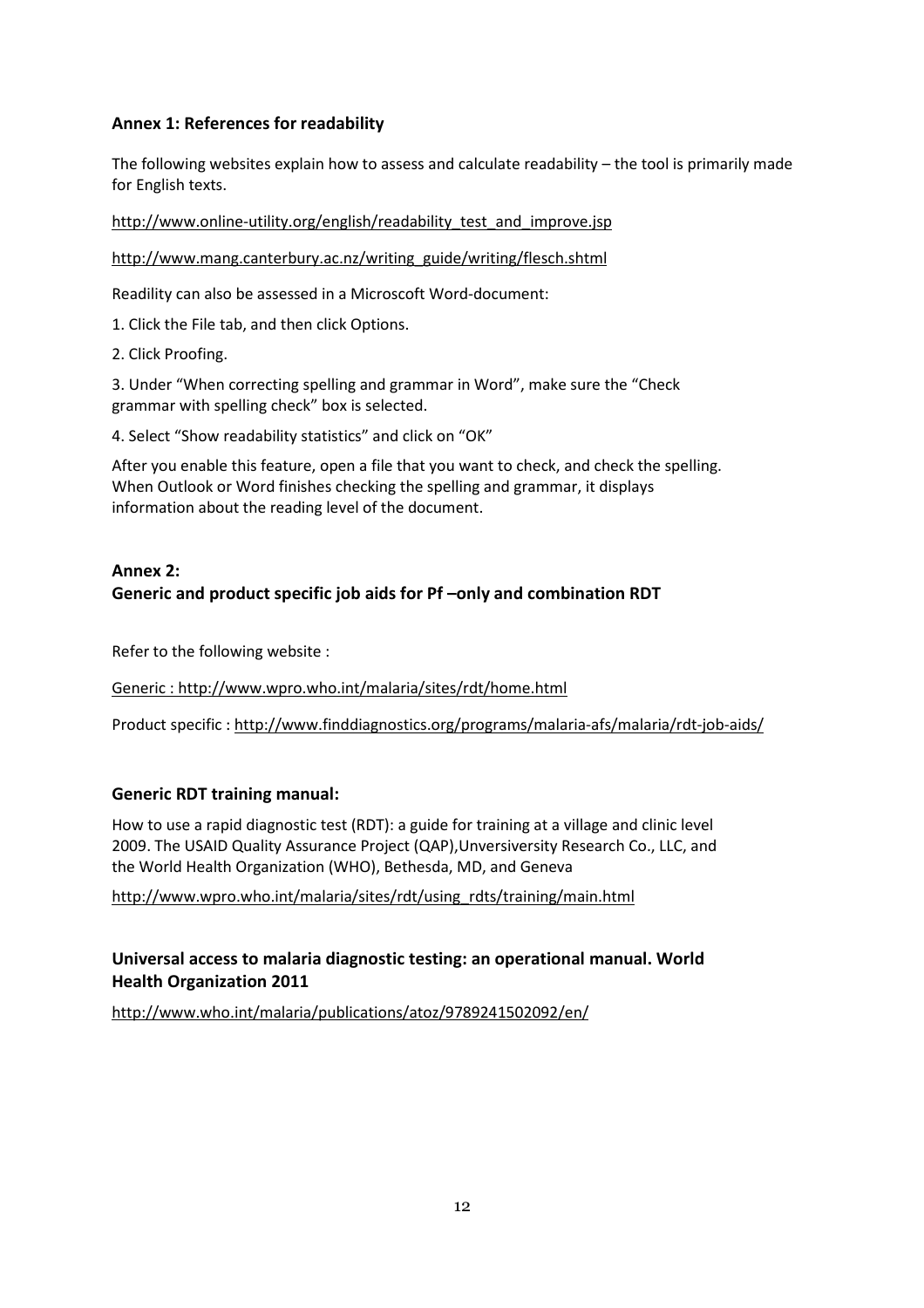# **Annex 1: References for readability**

The following websites explain how to assess and calculate readability – the tool is primarily made for English texts.

http://www.online-utility.org/english/readability test and improve.jsp

http://www.mang.canterbury.ac.nz/writing\_guide/writing/flesch.shtml

Readility can also be assessed in a Microscoft Word-document:

1. Click the File tab, and then click Options.

2. Click Proofing.

3. Under "When correcting spelling and grammar in Word", make sure the "Check grammar with spelling check" box is selected.

4. Select "Show readability statistics" and click on "OK"

After you enable this feature, open a file that you want to check, and check the spelling. When Outlook or Word finishes checking the spelling and grammar, it displays information about the reading level of the document.

## **Annex 2: Generic and product specific job aids for Pf –only and combination RDT**

Refer to the following website :

Generic : http://www.wpro.who.int/malaria/sites/rdt/home.html

Product specific : http://www.finddiagnostics.org/programs/malaria-afs/malaria/rdt-job-aids/

## **Generic RDT training manual:**

How to use a rapid diagnostic test (RDT): a guide for training at a village and clinic level 2009. The USAID Quality Assurance Project (QAP),Unversiversity Research Co., LLC, and the World Health Organization (WHO), Bethesda, MD, and Geneva

http://www.wpro.who.int/malaria/sites/rdt/using\_rdts/training/main.html

# **Universal access to malaria diagnostic testing: an operational manual. World Health Organization 2011**

http://www.who.int/malaria/publications/atoz/9789241502092/en/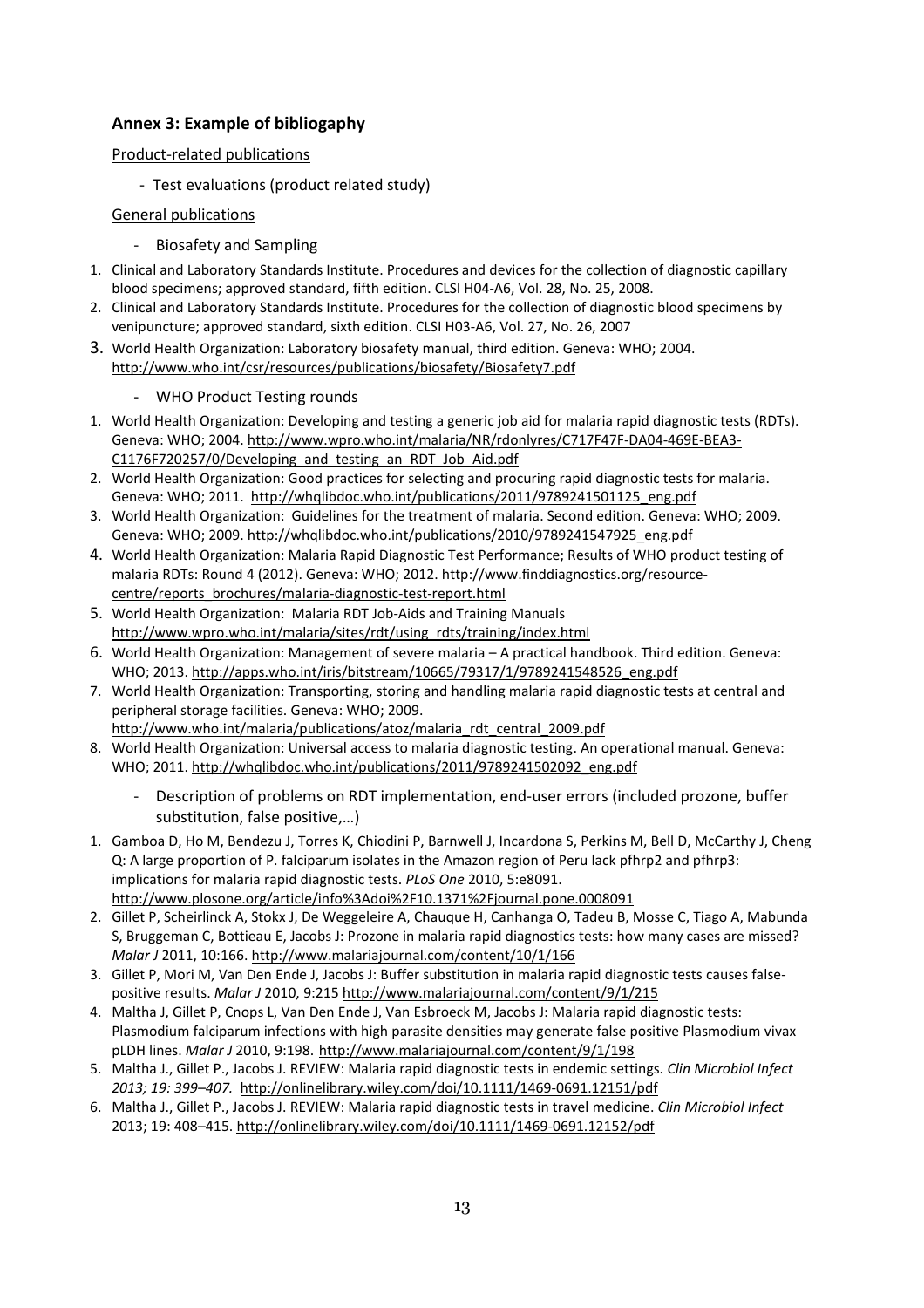# **Annex 3: Example of bibliogaphy**

#### Product-related publications

- Test evaluations (product related study)

#### General publications

- Biosafety and Sampling
- 1. Clinical and Laboratory Standards Institute. Procedures and devices for the collection of diagnostic capillary blood specimens; approved standard, fifth edition. CLSI H04-A6, Vol. 28, No. 25, 2008.
- 2. Clinical and Laboratory Standards Institute. Procedures for the collection of diagnostic blood specimens by venipuncture; approved standard, sixth edition. CLSI H03-A6, Vol. 27, No. 26, 2007
- 3. World Health Organization: Laboratory biosafety manual, third edition. Geneva: WHO; 2004. http://www.who.int/csr/resources/publications/biosafety/Biosafety7.pdf

#### WHO Product Testing rounds

- 1. World Health Organization: Developing and testing a generic job aid for malaria rapid diagnostic tests (RDTs). Geneva: WHO; 2004. http://www.wpro.who.int/malaria/NR/rdonlyres/C717F47F-DA04-469E-BEA3- C1176F720257/0/Developing and testing an RDT Job Aid.pdf
- 2. World Health Organization: Good practices for selecting and procuring rapid diagnostic tests for malaria. Geneva: WHO; 2011. http://whqlibdoc.who.int/publications/2011/9789241501125\_eng.pdf
- 3. World Health Organization: Guidelines for the treatment of malaria. Second edition. Geneva: WHO; 2009. Geneva: WHO; 2009. http://whqlibdoc.who.int/publications/2010/9789241547925\_eng.pdf
- 4. World Health Organization: Malaria Rapid Diagnostic Test Performance; Results of WHO product testing of malaria RDTs: Round 4 (2012). Geneva: WHO; 2012. http://www.finddiagnostics.org/resourcecentre/reports\_brochures/malaria-diagnostic-test-report.html
- 5. World Health Organization: Malaria RDT Job-Aids and Training Manuals http://www.wpro.who.int/malaria/sites/rdt/using\_rdts/training/index.html
- 6. World Health Organization: Management of severe malaria A practical handbook. Third edition. Geneva: WHO; 2013. http://apps.who.int/iris/bitstream/10665/79317/1/9789241548526\_eng.pdf
- 7. World Health Organization: Transporting, storing and handling malaria rapid diagnostic tests at central and peripheral storage facilities. Geneva: WHO; 2009.
- http://www.who.int/malaria/publications/atoz/malaria\_rdt\_central\_2009.pdf
- 8. World Health Organization: Universal access to malaria diagnostic testing. An operational manual. Geneva: WHO; 2011. http://whqlibdoc.who.int/publications/2011/9789241502092\_eng.pdf
	- Description of problems on RDT implementation, end-user errors (included prozone, buffer substitution, false positive,…)
- 1. Gamboa D, Ho M, Bendezu J, Torres K, Chiodini P, Barnwell J, Incardona S, Perkins M, Bell D, McCarthy J, Cheng Q: A large proportion of P. falciparum isolates in the Amazon region of Peru lack pfhrp2 and pfhrp3: implications for malaria rapid diagnostic tests. *PLoS One* 2010, 5:e8091. http://www.plosone.org/article/info%3Adoi%2F10.1371%2Fjournal.pone.0008091
- 2. Gillet P, Scheirlinck A, Stokx J, De Weggeleire A, Chauque H, Canhanga O, Tadeu B, Mosse C, Tiago A, Mabunda S, Bruggeman C, Bottieau E, Jacobs J: Prozone in malaria rapid diagnostics tests: how many cases are missed? *Malar J* 2011, 10:166. http://www.malariajournal.com/content/10/1/166
- 3. Gillet P, Mori M, Van Den Ende J, Jacobs J: Buffer substitution in malaria rapid diagnostic tests causes falsepositive results. *Malar J* 2010, 9:215 http://www.malariajournal.com/content/9/1/215
- 4. Maltha J, Gillet P, Cnops L, Van Den Ende J, Van Esbroeck M, Jacobs J: Malaria rapid diagnostic tests: Plasmodium falciparum infections with high parasite densities may generate false positive Plasmodium vivax pLDH lines. *Malar J* 2010, 9:198. http://www.malariajournal.com/content/9/1/198
- 5. Maltha J., Gillet P., Jacobs J. REVIEW: Malaria rapid diagnostic tests in endemic settings. *Clin Microbiol Infect 2013; 19: 399–407.* http://onlinelibrary.wiley.com/doi/10.1111/1469-0691.12151/pdf
- 6. Maltha J., Gillet P., Jacobs J. REVIEW: Malaria rapid diagnostic tests in travel medicine. *Clin Microbiol Infect* 2013; 19: 408–415. http://onlinelibrary.wiley.com/doi/10.1111/1469-0691.12152/pdf